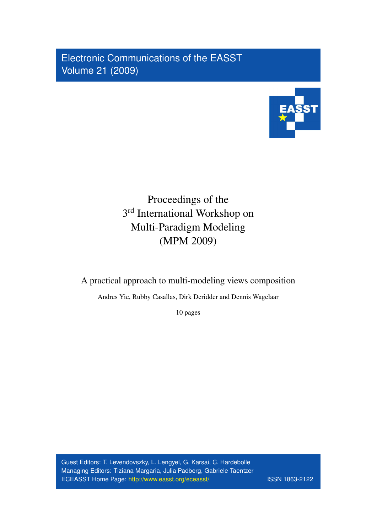Electronic Communications of the EASST Volume 21 (2009)



# Proceedings of the 3<sup>rd</sup> International Workshop on Multi-Paradigm Modeling (MPM 2009)

A practical approach to multi-modeling views composition

Andres Yie, Rubby Casallas, Dirk Deridder and Dennis Wagelaar

10 pages

Guest Editors: T. Levendovszky, L. Lengyel, G. Karsai, C. Hardebolle Managing Editors: Tiziana Margaria, Julia Padberg, Gabriele Taentzer ECEASST Home Page: <http://www.easst.org/eceasst/> ISSN 1863-2122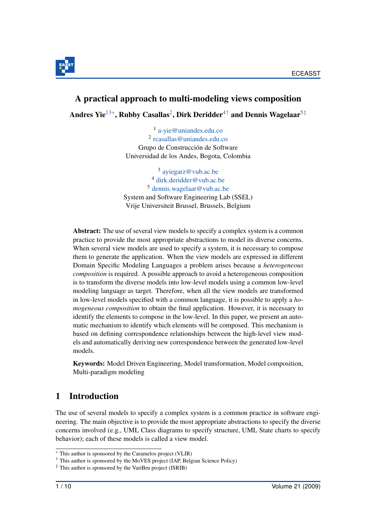

## A practical approach to multi-modeling views composition

<span id="page-1-4"></span><span id="page-1-3"></span><span id="page-1-1"></span><span id="page-1-0"></span>Andres Yie $^{13*}$  $^{13*}$  $^{13*}$  $^{13*}$ , Rubby Casallas $^2$  $^2$ , Dirk Deridder $^{4\dagger}$  $^{4\dagger}$  $^{4\dagger}$  and Dennis Wagelaar $^{5\ddagger}$  $^{5\ddagger}$  $^{5\ddagger}$ 

1 [a-yie@uniandes.edu.co](mailto:a-yie@uniandes.edu.co) 2 [rcasallas@uniandes.edu.co](mailto:rcasallas@uniandes.edu.co) Grupo de Construcción de Software Universidad de los Andes, Bogota, Colombia

3 [ayiegarz@vub.ac.be](mailto:ayiegarz@vub.ac.be) <sup>4</sup> [dirk.deridder@vub.ac.be](mailto:dirk.deridder@vub.ac.be) <sup>5</sup> [dennis.wagelaar@vub.ac.be](mailto:dennis.wagelaar@vub.ac.be) System and Software Engineering Lab (SSEL) Vrije Universiteit Brussel, Brussels, Belgium

<span id="page-1-6"></span>Abstract: The use of several view models to specify a complex system is a common practice to provide the most appropriate abstractions to model its diverse concerns. When several view models are used to specify a system, it is necessary to compose them to generate the application. When the view models are expressed in different Domain Specific Modeling Languages a problem arises because a *heterogeneous composition* is required. A possible approach to avoid a heterogeneous composition is to transform the diverse models into low-level models using a common low-level modeling language as target. Therefore, when all the view models are transformed in low-level models specified with a common language, it is possible to apply a *homogeneous composition* to obtain the final application. However, it is necessary to identify the elements to compose in the low-level. In this paper, we present an automatic mechanism to identify which elements will be composed. This mechanism is based on defining correspondence relationships between the high-level view models and automatically deriving new correspondence between the generated low-level models.

Keywords: Model Driven Engineering, Model transformation, Model composition, Multi-paradigm modeling

### 1 Introduction

The use of several models to specify a complex system is a common practice in software engineering. The main objective is to provide the most appropriate abstractions to specify the diverse concerns involved (e.g., UML Class diagrams to specify structure, UML State charts to specify behavior); each of these models is called a view model.

<span id="page-1-2"></span><sup>∗</sup> This author is sponsored by the Caramelos project (VLIR)

<span id="page-1-5"></span><sup>†</sup> This author is sponsored by the MoVES project (IAP, Belgian Science Policy)

<span id="page-1-7"></span> $\ddot{\text{ } }$  This author is sponsored by the VariBru project (ISRIB)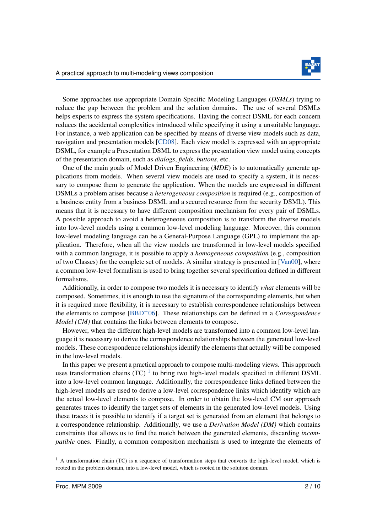

Some approaches use appropriate Domain Specific Modeling Languages (*DSMLs*) trying to reduce the gap between the problem and the solution domains. The use of several DSMLs helps experts to express the system specifications. Having the correct DSML for each concern reduces the accidental complexities introduced while specifying it using a unsuitable language. For instance, a web application can be specified by means of diverse view models such as data, navigation and presentation models [\[CD08\]](#page-10-0). Each view model is expressed with an appropriate DSML, for example a Presentation DSML to express the presentation view model using concepts of the presentation domain, such as *dialogs*, *fields*, *buttons*, etc.

One of the main goals of Model Driven Engineering (*MDE*) is to automatically generate applications from models. When several view models are used to specify a system, it is necessary to compose them to generate the application. When the models are expressed in different DSMLs a problem arises because a *heterogeneous composition* is required (e.g., composition of a business entity from a business DSML and a secured resource from the security DSML). This means that it is necessary to have different composition mechanism for every pair of DSMLs. A possible approach to avoid a heterogeneous composition is to transform the diverse models into low-level models using a common low-level modeling language. Moreover, this common low-level modeling language can be a General-Purpose Language (GPL) to implement the application. Therefore, when all the view models are transformed in low-level models specified with a common language, it is possible to apply a *homogeneous composition* (e.g., composition of two Classes) for the complete set of models. A similar strategy is presented in [\[Van00\]](#page-10-1), where a common low-level formalism is used to bring together several specification defined in different formalisms.

Additionally, in order to compose two models it is necessary to identify *what* elements will be composed. Sometimes, it is enough to use the signature of the corresponding elements, but when it is required more flexibility, it is necessary to establish correspondence relationships between the elements to compose [\[BBD](#page-10-2)+06]. These relationships can be defined in a *Correspondence Model* (*CM*) that contains the links between elements to compose.

However, when the different high-level models are transformed into a common low-level language it is necessary to derive the correspondence relationships between the generated low-level models. These correspondence relationships identify the elements that actually will be composed in the low-level models.

In this paper we present a practical approach to compose multi-modeling views. This approach uses transformation chains (TC)  $<sup>1</sup>$  $<sup>1</sup>$  $<sup>1</sup>$  to bring two high-level models specified in different DSML</sup> into a low-level common language. Additionally, the correspondence links defined between the high-level models are used to derive a low-level correspondence links which identify which are the actual low-level elements to compose. In order to obtain the low-level CM our approach generates traces to identify the target sets of elements in the generated low-level models. Using these traces it is possible to identify if a target set is generated from an element that belongs to a correspondence relationship. Additionally, we use a *Derivation Model (DM)* which contains constraints that allows us to find the match between the generated elements, discarding *incompatible* ones. Finally, a common composition mechanism is used to integrate the elements of

<span id="page-2-0"></span> $\overline{1}$  A transformation chain (TC) is a sequence of transformation steps that converts the high-level model, which is rooted in the problem domain, into a low-level model, which is rooted in the solution domain.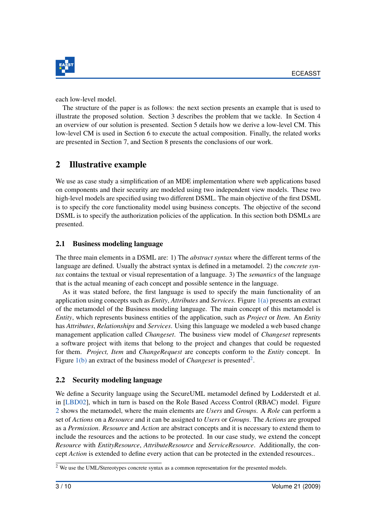

each low-level model.

The structure of the paper is as follows: the next section presents an example that is used to illustrate the proposed solution. Section 3 describes the problem that we tackle. In Section 4 an overview of our solution is presented. Section 5 details how we derive a low-level CM. This low-level CM is used in Section 6 to execute the actual composition. Finally, the related works are presented in Section 7, and Section 8 presents the conclusions of our work.

# 2 Illustrative example

We use as case study a simplification of an MDE implementation where web applications based on components and their security are modeled using two independent view models. These two high-level models are specified using two different DSML. The main objective of the first DSML is to specify the core functionality model using business concepts. The objective of the second DSML is to specify the authorization policies of the application. In this section both DSMLs are presented.

### 2.1 Business modeling language

The three main elements in a DSML are: 1) The *abstract syntax* where the different terms of the language are defined. Usually the abstract syntax is defined in a metamodel. 2) the *concrete syntax* contains the textual or visual representation of a language. 3) The *semantics* of the language that is the actual meaning of each concept and possible sentence in the language.

As it was stated before, the first language is used to specify the main functionality of an application using concepts such as *Entity*, *Attributes* and *Services*. Figure [1\(a\)](#page-4-0) presents an extract of the metamodel of the Business modeling language. The main concept of this metamodel is *Entity*, which represents business entities of the application, such as *Project* or *Item*. An *Entity* has *Attributes*, *Relationships* and *Services*. Using this language we modeled a web based change management application called *Changeset*. The business view model of *Changeset* represents a software project with items that belong to the project and changes that could be requested for them. *Project, Item* and *ChangeRequest* are concepts conform to the *Entity* concept. In Figure  $1(b)$  an extract of the business model of *Changeset* is presented<sup>[2](#page-3-0)</sup>.

### 2.2 Security modeling language

We define a Security language using the SecureUML metamodel defined by Lodderstedt et al. in [\[LBD02\]](#page-10-3), which in turn is based on the Role Based Access Control (RBAC) model. Figure [2](#page-4-2) shows the metamodel, where the main elements are *Users* and *Groups*. A *Role* can perform a set of *Actions* on a *Resource* and it can be assigned to *Users* or *Groups*. The *Actions* are grouped as a *Permission*. *Resource* and *Action* are abstract concepts and it is necessary to extend them to include the resources and the actions to be protected. In our case study, we extend the concept *Resource* with *EntityResource*, *AttributeResource* and *ServiceResource*. Additionally, the concept *Action* is extended to define every action that can be protected in the extended resources..

<span id="page-3-0"></span> $\overline{2}$  We use the UML/Stereotypes concrete syntax as a common representation for the presented models.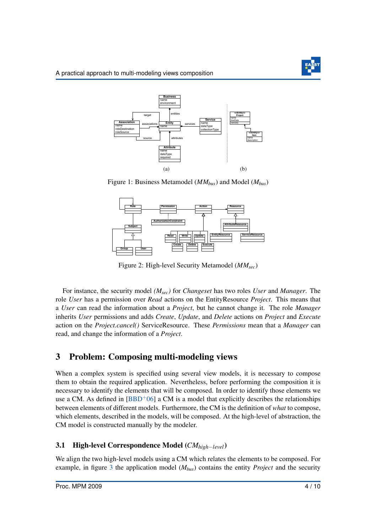

<span id="page-4-0"></span>

<span id="page-4-1"></span>Figure 1: Business Metamodel (*MMbus*) and Model (*Mbus*)

<span id="page-4-2"></span>

Figure 2: High-level Security Metamodel (*MMsec*)

For instance, the security model *(Msec)* for *Changeset* has two roles *User* and *Manager*. The role *User* has a permission over *Read* actions on the EntityResource *Project*. This means that a *User* can read the information about a *Project*, but he cannot change it. The role *Manager* inherits *User* permissions and adds *Create*, *Update*, and *Delete* actions on *Project* and *Execute* action on the *Project.cancel()* ServiceResource. These *Permissions* mean that a *Manager* can read, and change the information of a *Project*.

# 3 Problem: Composing multi-modeling views

When a complex system is specified using several view models, it is necessary to compose them to obtain the required application. Nevertheless, before performing the composition it is necessary to identify the elements that will be composed. In order to identify those elements we use a CM. As defined in  $[BBD<sup>+</sup>06]$  $[BBD<sup>+</sup>06]$  a CM is a model that explicitly describes the relationships between elements of different models. Furthermore, the CM is the definition of *what* to compose, which elements, described in the models, will be composed. At the high-level of abstraction, the CM model is constructed manually by the modeler.

### 3.1 High-level Correspondence Model (*CMhigh*−*level*)

We align the two high-level models using a CM which relates the elements to be composed. For example, in figure [3](#page-5-0) the application model (*Mbus*) contains the entity *Project* and the security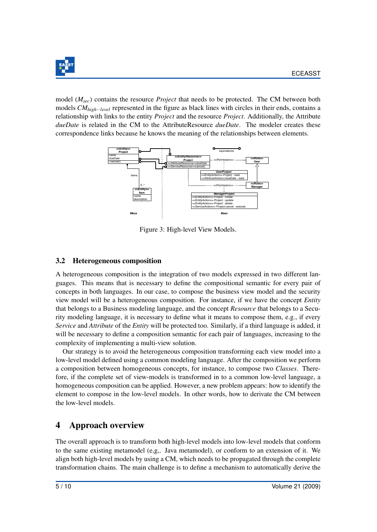

<span id="page-5-0"></span>model (*Msec*) contains the resource *Project* that needs to be protected. The CM between both models *CMhigh*−*level* represented in the figure as black lines with circles in their ends, contains a relationship with links to the entity *Project* and the resource *Project*. Additionally, the Attribute *dueDate* is related in the CM to the AttributeResource *dueDate*. The modeler creates these correspondence links because he knows the meaning of the relationships between elements.



Figure 3: High-level View Models.

### 3.2 Heterogeneous composition

A heterogeneous composition is the integration of two models expressed in two different languages. This means that is necessary to define the compositional semantic for every pair of concepts in both languages. In our case, to compose the business view model and the security view model will be a heterogeneous composition. For instance, if we have the concept *Entity* that belongs to a Business modeling language, and the concept *Resource* that belongs to a Security modeling language, it is necessary to define what it means to compose them, e.g., if every *Service* and *Attribute* of the *Entity* will be protected too. Similarly, if a third language is added, it will be necessary to define a composition semantic for each pair of languages, increasing to the complexity of implementing a multi-view solution.

Our strategy is to avoid the heterogeneous composition transforming each view model into a low-level model defined using a common modeling language. After the composition we perform a composition between homogeneous concepts, for instance, to compose two *Classes*. Therefore, if the complete set of view-models is transformed in to a common low-level language, a homogeneous composition can be applied. However, a new problem appears: how to identify the element to compose in the low-level models. In other words, how to derivate the CM between the low-level models.

# 4 Approach overview

The overall approach is to transform both high-level models into low-level models that conform to the same existing metamodel (e,g,. Java metamodel), or conform to an extension of it. We align both high-level models by using a CM, which needs to be propagated through the complete transformation chains. The main challenge is to define a mechanism to automatically derive the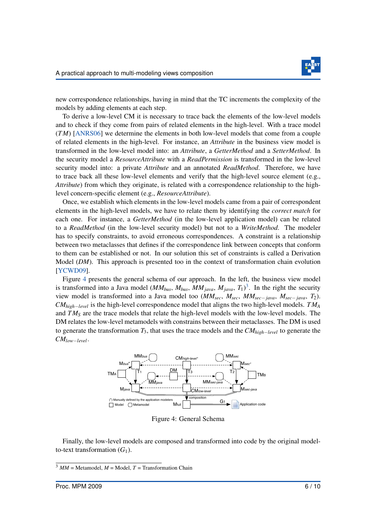

new correspondence relationships, having in mind that the TC increments the complexity of the models by adding elements at each step.

To derive a low-level CM it is necessary to trace back the elements of the low-level models and to check if they come from pairs of related elements in the high-level. With a trace model (*TM*) [\[ANRS06\]](#page-10-4) we determine the elements in both low-level models that come from a couple of related elements in the high-level. For instance, an *Attribute* in the business view model is transformed in the low-level model into: an *Attribute*, a *GetterMethod* and a *SetterMethod*. In the security model a *ResourceAttribute* with a *ReadPermission* is transformed in the low-level security model into: a private *Attribute* and an annotated *ReadMethod*. Therefore, we have to trace back all these low-level elements and verify that the high-level source element (e.g., *Attribute*) from which they originate, is related with a correspondence relationship to the highlevel concern-specific element (e.g., *ResourceAttribute*).

Once, we establish which elements in the low-level models came from a pair of correspondent elements in the high-level models, we have to relate them by identifying the *correct match* for each one. For instance, a *GetterMethod* (in the low-level application model) can be related to a *ReadMethod* (in the low-level security model) but not to a *WriteMethod*. The modeler has to specify constraints, to avoid erroneous correspondences. A constraint is a relationship between two metaclasses that defines if the correspondence link between concepts that conform to them can be established or not. In our solution this set of constraints is called a Derivation Model (*DM*). This approach is presented too in the context of transformation chain evolution [\[YCWD09\]](#page-10-5).

Figure [4](#page-6-0) presents the general schema of our approach. In the left, the business view model is transformed into a Java model ( $MM_{bus}$ ,  $M_{bus}$ ,  $MM_{java}$ ,  $M_{java}$ ,  $T_1$ )<sup>[3](#page-6-1)</sup>. In the right the security view model is transformed into a Java model too (*MMsec*, *Msec*, *MMsec*−*java*, *Msec*−*java*, *T*2). *CMhigh*−*level* is the high-level correspondence model that aligns the two high-level models. *TM<sup>A</sup>* and *TM<sup>S</sup>* are the trace models that relate the high-level models with the low-level models. The DM relates the low-level metamodels with constrains between their metaclasses. The DM is used to generate the transformation *T*3, that uses the trace models and the *CMhigh*−*level* to generate the *CMlow*−*level*.

<span id="page-6-0"></span>

Figure 4: General Schema

Finally, the low-level models are composed and transformed into code by the original modelto-text transformation  $(G_1)$ .

<span id="page-6-1"></span><sup>&</sup>lt;sup>3</sup>  $MM$  = Metamodel,  $M$  = Model,  $T$  = Transformation Chain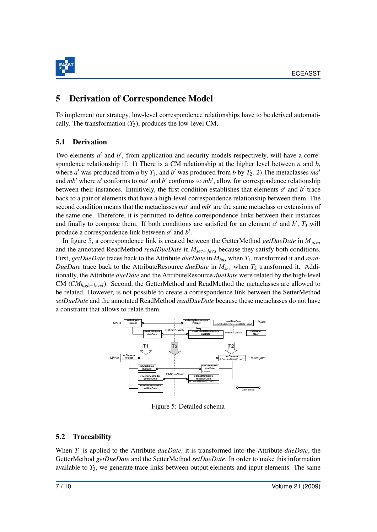

# 5 Derivation of Correspondence Model

To implement our strategy, low-level correspondence relationships have to be derived automatically. The transformation  $(T_3)$ , produces the low-level CM.

### 5.1 Derivation

Two elements *a'* and *b'*, from application and security models respectively, will have a correspondence relationship if: 1) There is a CM relationship at the higher level between *a* and *b*, where  $a'$  was produced from  $a$  by  $T_1$ , and  $b'$  was produced from  $b$  by  $T_2$ . 2) The metaclasses  $ma'$ and  $mb'$  where  $a'$  conforms to  $ma'$  and  $b'$  conforms to  $mb'$ , allow for correspondence relationship between their instances. Intuitively, the first condition establishes that elements  $a'$  and  $b'$  trace back to a pair of elements that have a high-level correspondence relationship between them. The second condition means that the metaclasses ma' and mb' are the same metaclass or extensions of the same one. Therefore, it is permitted to define correspondence links between their instances and finally to compose them. If both conditions are satisfied for an element  $a'$  and  $b'$ ,  $T_3$  will produce a correspondence link between  $a'$  and  $b'$ .

In figure [5,](#page-7-0) a correspondence link is created between the GetterMethod *getDueDate* in *Mjava* and the annotated ReadMethod *readDueDate* in *Msec*−*java* because they satisfy both conditions. First, *getDueDate* traces back to the Attribute *dueDate* in *Mbus* when *T*1, transformed it and *read-DueDate* trace back to the AttributeResource *dueDate* in  $M_{sec}$  when  $T_2$  transformed it. Additionally, the Attribute *dueDate* and the AttributeResource *dueDate* were related by the high-level CM (*CMhigh*−*level*). Second, the GetterMethod and ReadMethod the metaclasses are allowed to be related. However, is not possible to create a correspondence link between the SetterMethod *setDueDate* and the annotated ReadMethod *readDueDate* because these metaclasses do not have a constraint that allows to relate them.

<span id="page-7-0"></span>

Figure 5: Detailed schema

### 5.2 Traceability

When *T*<sup>1</sup> is applied to the Attribute *dueDate*, it is transformed into the Attribute *dueDate*, the GetterMethod *getDueDate* and the SetterMethod *setDueDate*. In order to make this information available to *T*3, we generate trace links between output elements and input elements. The same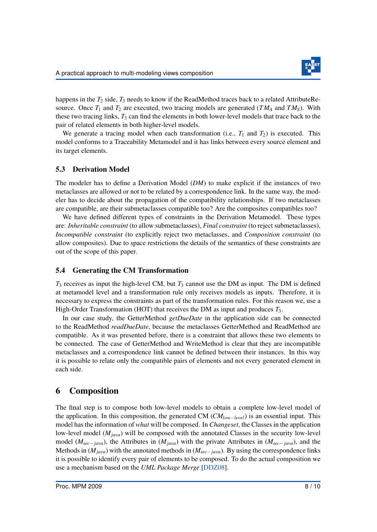

happens in the  $T_2$  side,  $T_3$  needs to know if the ReadMethod traces back to a related AttributeResource. Once  $T_1$  and  $T_2$  are executed, two tracing models are generated ( $T M_A$  and  $T M_S$ ). With these two tracing links, *T*<sup>3</sup> can find the elements in both lower-level models that trace back to the pair of related elements in both higher-level models.

We generate a tracing model when each transformation (i.e.,  $T_1$  and  $T_2$ ) is executed. This model conforms to a Traceability Metamodel and it has links between every source element and its target elements.

#### 5.3 Derivation Model

The modeler has to define a Derivation Model (*DM*) to make explicit if the instances of two metaclasses are allowed or not to be related by a correspondence link. In the same way, the modeler has to decide about the propagation of the compatibility relationships. If two metaclasses are compatible, are their submetaclasses compatible too? Are the composites compatibles too?

We have defined different types of constraints in the Derivation Metamodel. These types are: *Inheritable constraint* (to allow submetaclasses), *Final constraint* (to reject submetaclasses), *Incompatible constraint* (to explicitly reject two metaclasses, and *Composition constraint* (to allow composites). Due to space restrictions the details of the semantics of these constraints are out of the scope of this paper.

#### 5.4 Generating the CM Transformation

*T*<sup>3</sup> receives as input the high-level CM, but *T*<sup>3</sup> cannot use the DM as input. The DM is defined at metamodel level and a transformation rule only receives models as inputs. Therefore, it is necessary to express the constraints as part of the transformation rules. For this reason we, use a High-Order Transformation (HOT) that receives the DM as input and produces *T*3.

In our case study, the GetterMethod *getDueDate* in the application side can be connected to the ReadMethod *readDueDate*, because the metaclasses GetterMethod and ReadMethod are compatible. As it was presented before, there is a constraint that allows these two elements to be connected. The case of GetterMethod and WriteMethod is clear that they are incompatible metaclasses and a correspondence link cannot be defined between their instances. In this way it is possible to relate only the compatible pairs of elements and not every generated element in each side.

### 6 Composition

The final step is to compose both low-level models to obtain a complete low-level model of the application. In this composition, the generated CM (*CMlow*−*level*) is an essential input. This model has the information of *what* will be composed. In *Changeset*, the Classes in the application low-level model (*Mjava*) will be composed with the annotated Classes in the security low-level model (*Msec*−*java*), the Attributes in (*Mjava*) with the private Attributes in (*Msec*−*java*), and the Methods in (*Mjava*) with the annotated methods in (*Msec*−*java*). By using the correspondence links it is possible to identify every pair of elements to be composed. To do the actual composition we use a mechanism based on the *UML Package Merge* [\[DDZ08\]](#page-10-6).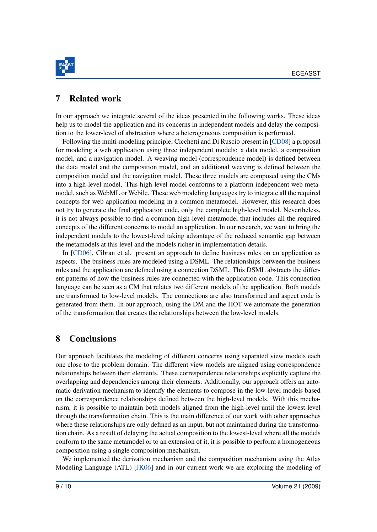

### 7 Related work

In our approach we integrate several of the ideas presented in the following works. These ideas help us to model the application and its concerns in independent models and delay the composition to the lower-level of abstraction where a heterogeneous composition is performed.

Following the multi-modeling principle, Cicchetti and Di Ruscio present in [\[CD08\]](#page-10-0) a proposal for modeling a web application using three independent models: a data model, a composition model, and a navigation model. A weaving model (correspondence model) is defined between the data model and the composition model, and an additional weaving is defined between the composition model and the navigation model. These three models are composed using the CMs into a high-level model. This high-level model conforms to a platform independent web metamodel, such as WebML or Webile. These web modeling languages try to integrate all the required concepts for web application modeling in a common metamodel. However, this research does not try to generate the final application code, only the complete high-level model. Nevertheless, it is not always possible to find a common high-level metamodel that includes all the required concepts of the different concerns to model an application. In our research, we want to bring the independent models to the lowest-level taking advantage of the reduced semantic gap between the metamodels at this level and the models richer in implementation details.

In [\[CD06\]](#page-10-7), Cibran et al. present an approach to define business rules on an application as aspects. The business rules are modeled using a DSML. The relationships between the business rules and the application are defined using a connection DSML. This DSML abstracts the different patterns of how the business rules are connected with the application code. This connection language can be seen as a CM that relates two different models of the application. Both models are transformed to low-level models. The connections are also transformed and aspect code is generated from them. In our approach, using the DM and the HOT we automate the generation of the transformation that creates the relationships between the low-level models.

### 8 Conclusions

Our approach facilitates the modeling of different concerns using separated view models each one close to the problem domain. The different view models are aligned using correspondence relationships between their elements. These correspondence relationships explicitly capture the overlapping and dependencies among their elements. Additionally, our approach offers an automatic derivation mechanism to identify the elements to compose in the low-level models based on the correspondence relationships defined between the high-level models. With this mechanism, it is possible to maintain both models aligned from the high-level until the lowest-level through the transformation chain. This is the main difference of our work with other approaches where these relationships are only defined as an input, but not maintained during the transformation chain. As a result of delaying the actual composition to the lowest-level where all the models conform to the same metamodel or to an extension of it, it is possible to perform a homogeneous composition using a single composition mechanism.

We implemented the derivation mechanism and the composition mechanism using the Atlas Modeling Language (ATL) [\[JK06\]](#page-10-8) and in our current work we are exploring the modeling of